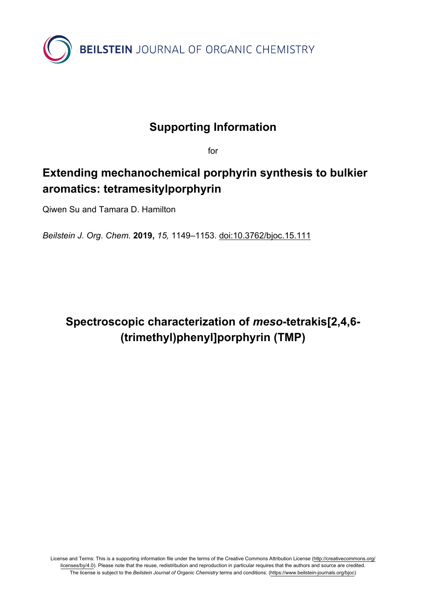

#### **Supporting Information**

for

### **Extending mechanochemical porphyrin synthesis to bulkier aromatics: tetramesitylporphyrin**

Qiwen Su and Tamara D. Hamilton

*Beilstein J. Org. Chem.* **2019,** *15,* 1149–1153. [doi:10.3762/bjoc.15.111](https://doi.org/10.3762%2Fbjoc.15.111)

# **Spectroscopic characterization of** *meso***-tetrakis[2,4,6- (trimethyl)phenyl]porphyrin (TMP)**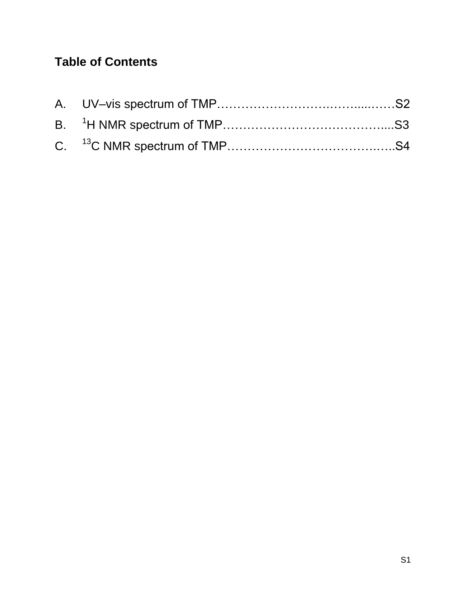# **Table of Contents**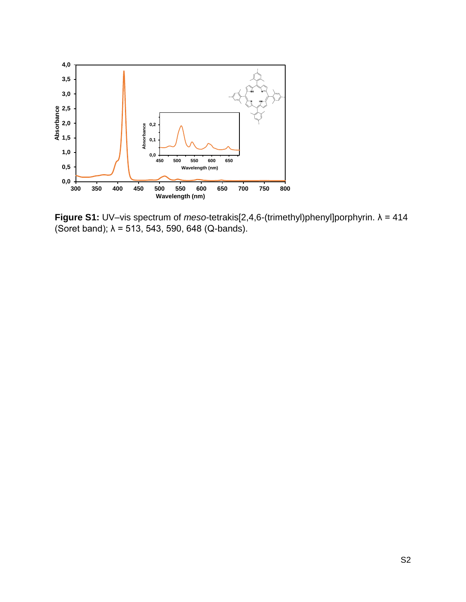

**Figure S1:** UV–vis spectrum of *meso*-tetrakis[2,4,6-(trimethyl)phenyl]porphyrin. λ = 414 (Soret band);  $\lambda = 513, 543, 590, 648$  (Q-bands).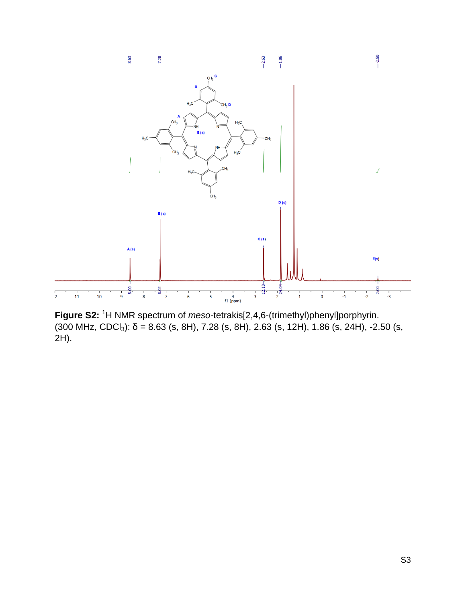

**Figure S2:** <sup>1</sup>H NMR spectrum of *meso*-tetrakis[2,4,6-(trimethyl)phenyl]porphyrin. (300 MHz, CDCl<sub>3</sub>):  $\delta$  = 8.63 (s, 8H), 7.28 (s, 8H), 2.63 (s, 12H), 1.86 (s, 24H), -2.50 (s, 2H).